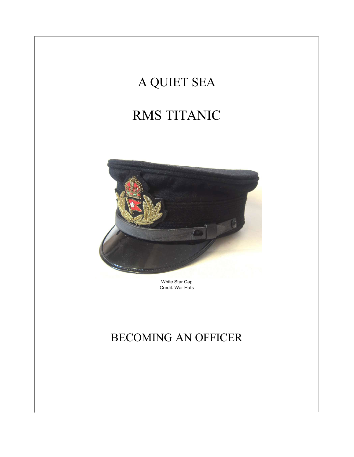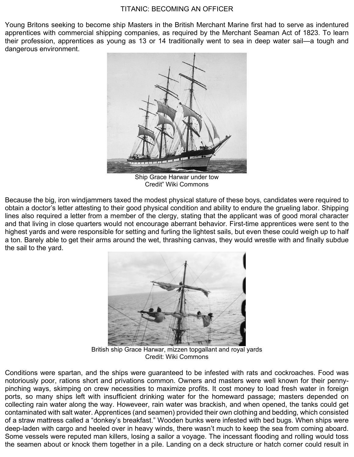Young Britons seeking to become ship Masters in the British Merchant Marine first had to serve as indentured apprentices with commercial shipping companies, as required by the Merchant Seaman Act of 1823. To learn their profession, apprentices as young as 13 or 14 traditionally went to sea in deep water sail—a tough and dangerous environment.



Ship Grace Harwar under tow Credit" Wiki Commons

Because the big, iron windjammers taxed the modest physical stature of these boys, candidates were required to obtain a doctor's letter attesting to their good physical condition and ability to endure the grueling labor. Shipping lines also required a letter from a member of the clergy, stating that the applicant was of good moral character and that living in close quarters would not encourage aberrant behavior. First-time apprentices were sent to the highest yards and were responsible for setting and furling the lightest sails, but even these could weigh up to half a ton. Barely able to get their arms around the wet, thrashing canvas, they would wrestle with and finally subdue the sail to the yard.



British ship Grace Harwar, mizzen topgallant and royal yards Credit: Wiki Commons

Conditions were spartan, and the ships were guaranteed to be infested with rats and cockroaches. Food was notoriously poor, rations short and privations common. Owners and masters were well known for their pennypinching ways, skimping on crew necessities to maximize profits. It cost money to load fresh water in foreign ports, so many ships left with insufficient drinking water for the homeward passage; masters depended on collecting rain water along the way. Howeveer, rain water was brackish, and when opened, the tanks could get contaminated with salt water. Apprentices (and seamen) provided their own clothing and bedding, which consisted of a straw mattress called a "donkey's breakfast." Wooden bunks were infested with bed bugs. When ships were deep-laden with cargo and heeled over in heavy winds, there wasn't much to keep the sea from coming aboard. Some vessels were reputed man killers, losing a sailor a voyage. The incessant flooding and rolling would toss the seamen about or knock them together in a pile. Landing on a deck structure or hatch corner could result in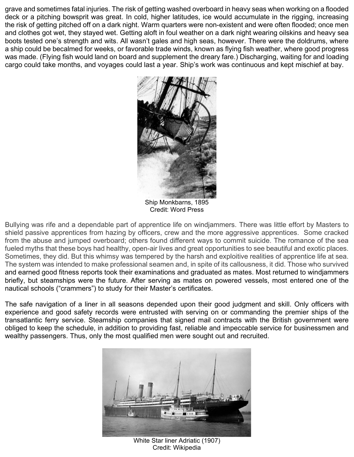grave and sometimes fatal injuries. The risk of getting washed overboard in heavy seas when working on a flooded deck or a pitching bowsprit was great. In cold, higher latitudes, ice would accumulate in the rigging, increasing the risk of getting pitched off on a dark night. Warm quarters were non-existent and were often flooded; once men and clothes got wet, they stayed wet. Getting aloft in foul weather on a dark night wearing oilskins and heavy sea boots tested one's strength and wits. All wasn't gales and high seas, however. There were the doldrums, where a ship could be becalmed for weeks, or favorable trade winds, known as flying fish weather, where good progress was made. (Flying fish would land on board and supplement the dreary fare.) Discharging, waiting for and loading cargo could take months, and voyages could last a year. Ship's work was continuous and kept mischief at bay.



Ship Monkbarns, 1895 Credit: Word Press

Bullying was rife and a dependable part of apprentice life on windjammers. There was little effort by Masters to shield passive apprentices from hazing by officers, crew and the more aggressive apprentices. Some cracked from the abuse and jumped overboard; others found different ways to commit suicide. The romance of the sea fueled myths that these boys had healthy, open-air lives and great opportunities to see beautiful and exotic places. Sometimes, they did. But this whimsy was tempered by the harsh and exploitive realities of apprentice life at sea. The system was intended to make professional seamen and, in spite of its callousness, it did. Those who survived and earned good fitness reports took their examinations and graduated as mates. Most returned to windjammers briefly, but steamships were the future. After serving as mates on powered vessels, most entered one of the nautical schools ("crammers") to study for their Master's certificates.

The safe navigation of a liner in all seasons depended upon their good judgment and skill. Only officers with experience and good safety records were entrusted with serving on or commanding the premier ships of the transatlantic ferry service. Steamship companies that signed mail contracts with the British government were obliged to keep the schedule, in addition to providing fast, reliable and impeccable service for businessmen and wealthy passengers. Thus, only the most qualified men were sought out and recruited.



White Star liner Adriatic (1907) Credit: Wikipedia